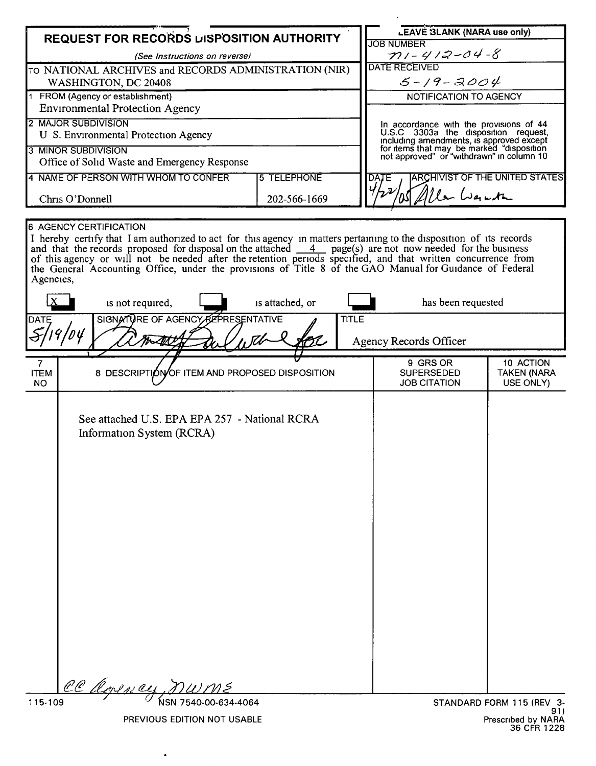| REQUEST FOR RECORDS DISPOSITION AUTHORITY                                                                                                                                                                                                                                                                                                                                                                                                                                                                                      |                                                                            |  |                                                                                 | <b>LEAVE 3LANK (NARA use only)</b><br><b>JOB NUMBER</b>                                |                                              |  |
|--------------------------------------------------------------------------------------------------------------------------------------------------------------------------------------------------------------------------------------------------------------------------------------------------------------------------------------------------------------------------------------------------------------------------------------------------------------------------------------------------------------------------------|----------------------------------------------------------------------------|--|---------------------------------------------------------------------------------|----------------------------------------------------------------------------------------|----------------------------------------------|--|
| (See Instructions on reverse)                                                                                                                                                                                                                                                                                                                                                                                                                                                                                                  |                                                                            |  |                                                                                 | $71 - 412 - 04 - 8$                                                                    |                                              |  |
| TO NATIONAL ARCHIVES and RECORDS ADMINISTRATION (NIR)                                                                                                                                                                                                                                                                                                                                                                                                                                                                          |                                                                            |  |                                                                                 | <b>DATE RECEIVED</b>                                                                   |                                              |  |
| WASHINGTON, DC 20408                                                                                                                                                                                                                                                                                                                                                                                                                                                                                                           |                                                                            |  |                                                                                 | $5 - 19 - 2004$                                                                        |                                              |  |
| 1 FROM (Agency or establishment)                                                                                                                                                                                                                                                                                                                                                                                                                                                                                               |                                                                            |  | NOTIFICATION TO AGENCY                                                          |                                                                                        |                                              |  |
| <b>Environmental Protection Agency</b>                                                                                                                                                                                                                                                                                                                                                                                                                                                                                         |                                                                            |  |                                                                                 |                                                                                        |                                              |  |
| 2 MAJOR SUBDIVISION<br>U S. Environmental Protection Agency                                                                                                                                                                                                                                                                                                                                                                                                                                                                    |                                                                            |  | In accordance with the provisions of 44<br>U.S.C 3303a the disposition request, |                                                                                        |                                              |  |
| <b>3 MINOR SUBDIVISION</b>                                                                                                                                                                                                                                                                                                                                                                                                                                                                                                     |                                                                            |  |                                                                                 | including amendments, is approved except                                               |                                              |  |
| Office of Solid Waste and Emergency Response                                                                                                                                                                                                                                                                                                                                                                                                                                                                                   |                                                                            |  |                                                                                 | for items that may be marked "disposition<br>not approved" or "withdrawn" in column 10 |                                              |  |
| 4 NAME OF PERSON WITH WHOM TO CONFER<br><b>5 TELEPHONE</b>                                                                                                                                                                                                                                                                                                                                                                                                                                                                     |                                                                            |  | <b>ARCHIVIST OF THE UNITED STATES</b><br><b>DATE</b>                            |                                                                                        |                                              |  |
|                                                                                                                                                                                                                                                                                                                                                                                                                                                                                                                                |                                                                            |  |                                                                                 | le Wante                                                                               |                                              |  |
| 202-566-1669<br>Chris O'Donnell                                                                                                                                                                                                                                                                                                                                                                                                                                                                                                |                                                                            |  |                                                                                 |                                                                                        |                                              |  |
| <b>6 AGENCY CERTIFICATION</b><br>I hereby certify that I am authorized to act for this agency in matters pertaining to the disposition of its records<br>and that the records proposed for disposal on the attached $\frac{4}{\sqrt{2}}$ page(s) are not now needed for the business<br>of this agency or will not be needed after the retention periods specified, and that written concurrence from<br>the General Accounting Office, under the provisions of Title 8 of the GAO Manual for Guidance of Federal<br>Agencies, |                                                                            |  |                                                                                 |                                                                                        |                                              |  |
| is not required,<br>is attached, or                                                                                                                                                                                                                                                                                                                                                                                                                                                                                            |                                                                            |  | has been requested                                                              |                                                                                        |                                              |  |
| SIGNATURE OF AGENCY REPRESENTATIVE<br><b>TITLE</b><br><b>DATE</b>                                                                                                                                                                                                                                                                                                                                                                                                                                                              |                                                                            |  |                                                                                 | <b>Agency Records Officer</b>                                                          |                                              |  |
| 7<br><b>ITEM</b><br><b>NO</b>                                                                                                                                                                                                                                                                                                                                                                                                                                                                                                  | 8 DESCRIPTION OF ITEM AND PROPOSED DISPOSITION                             |  |                                                                                 | 9 GRS OR<br><b>SUPERSEDED</b><br><b>JOB CITATION</b>                                   | 10 ACTION<br><b>TAKEN (NARA</b><br>USE ONLY) |  |
|                                                                                                                                                                                                                                                                                                                                                                                                                                                                                                                                | See attached U.S. EPA EPA 257 - National RCRA<br>Information System (RCRA) |  |                                                                                 |                                                                                        |                                              |  |
| 115-109                                                                                                                                                                                                                                                                                                                                                                                                                                                                                                                        | CC Clopency, nume                                                          |  |                                                                                 |                                                                                        | STANDARD FORM 115 (REV 3-                    |  |

PREVIOUS EDITION NOT USABLE

 $\ddot{\phantom{a}}$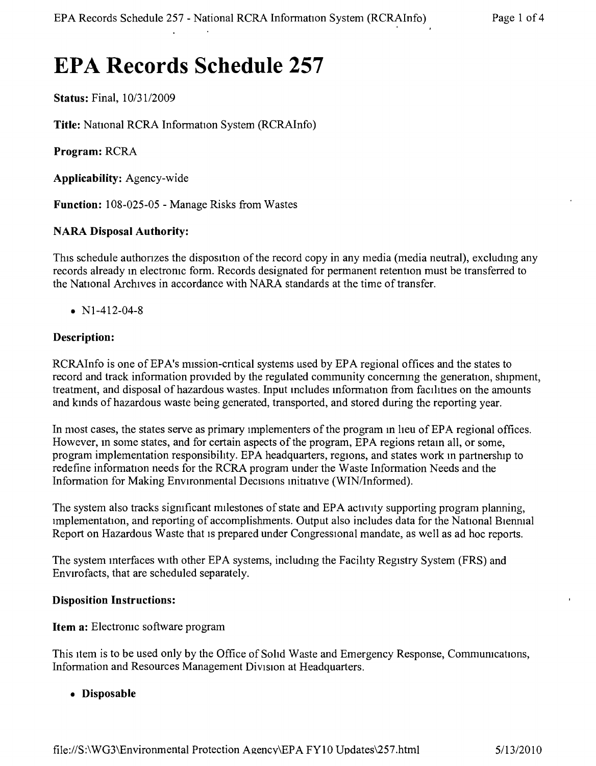# **EPA Records Schedule 257**

Status: Final, *10/3112009*

Title: National RCRA Information System (RCRAInfo)

Program: RCRA

Applicability: Agency-wide

Function: 108-025-05 - Manage Risks from Wastes

#### NARA Disposal Authority:

This schedule authonzes the disposition of the record copy in any media (media neutral), excludmg any records already m electronic form. Records designated for permanent retention must be transferred to the National Archives in accordance with NARA standards at the time of transfer.

• N<sub>1</sub>-412-04-8

## Description:

RCRAInfo is one of EPA's mission-critical systems used by EPA regional offices and the states to record and track information provided by the regulated community concernmg the generation, shipment, treatment, and disposal of hazardous wastes. Input includes information from facilities on the amounts and kinds of hazardous waste being generated, transported, and stored during the reporting year.

In most cases, the states serve as primary implementers of the program in heu of EPA regional offices. However, m some states, and for certain aspects of the program, EPA regions retam all, or some, program implementation responsibility. EPA headquarters, regions, and states work m partnership to redefine information needs for the RCRA program under the Waste Information Needs and the Information for Making Environmental Decisions initiative (WIN/Informed).

The system also tracks significant milestones of state and EPA activity supporting program planning, implementation, and reporting of accomplishments. Output also includes data for the National Bienmal Report on Hazardous Waste that is prepared under Congressional mandate, as well as ad hoc reports.

The system interfaces WIth other EPA systems, including the Facility Registry System (FRS) and Envirofacts, that are scheduled separately.

#### Disposition Instructions:

#### Item a: Electronic software program

This Item is to be used only by the Office of Sohd Waste and Emergency Response, Communications, Information and Resources Management Division at Headquarters.

• Disposable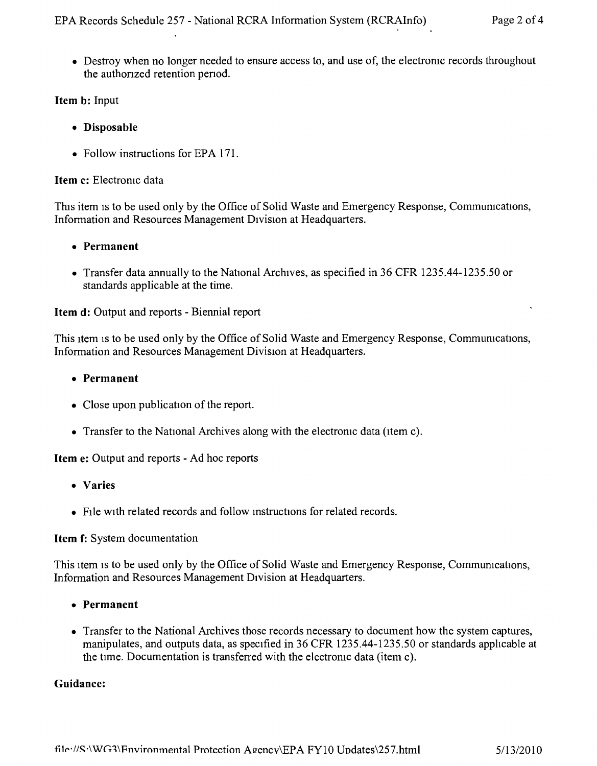• Destroy when no longer needed to ensure access to, and use of, the electronic records throughout the authonzed retention penod.

# Item b: Input

- Disposable
- Follow instructions for EPA 171.

### Item c: Electromc data

This item is to be used only by the Office of Solid Waste and Emergency Response, Communications, Information and Resources Management Division at Headquarters.

## • Permanent

• Transfer data annually to the National Archives, as specified in 36 CFR 1235.44-1235.50 or standards applicable at the time.

## Item d: Output and reports - Biennial report

This item is to be used only by the Office of Solid Waste and Emergency Response, Communications, Information and Resources Management Division at Headquarters.

## • Permanent

- Close upon publication of the report.
- Transfer to the National Archives along with the electronic data (item c).

Item e: Output and reports - Ad hoc reports

- Varies
- File with related records and follow instructions for related records.

#### Item f: System documentation

This item is to be used only by the Office of Solid Waste and Emergency Response, Communications, Information and Resources Management Division at Headquarters.

- Permanent
- Transfer to the National Archives those records necessary to document how the system captures, manipulates, and outputs data, as specified in 36 CFR 1235.44-1235.50 or standards applicable at the time. Documentation is transferred with the electromc data (item c).

# Guidance: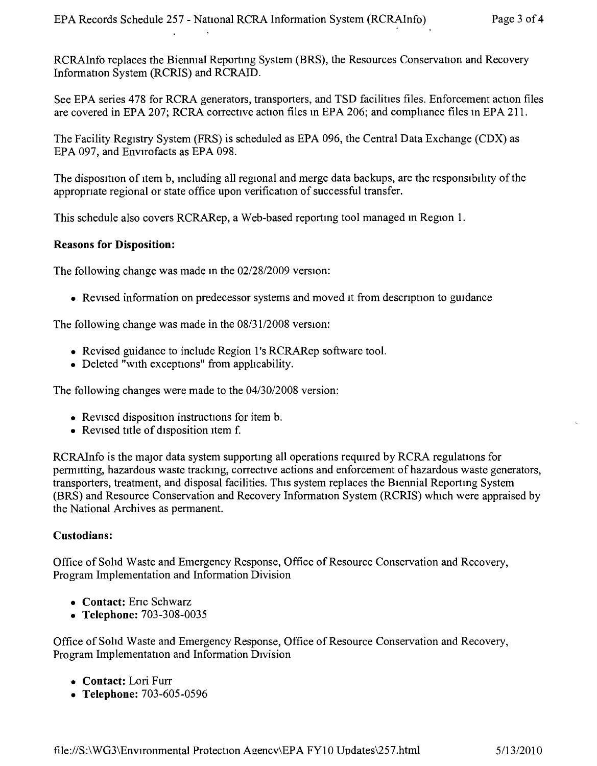RCRAInfo replaces the Bienmal Reportmg System (BRS), the Resources Conservation and Recovery Information System (RCRIS) and RCRAID.

See EPA series 478 for RCRA generators, transporters, and TSD facilities files. Enforcement action files are covered in EPA 207; RCRA corrective action files m EPA 206; and comphance files in EPA 211.

The Facility Registry System (FRS) is scheduled as EPA 096, the Central Data Exchange (CDX) as EPA 097, and Envirofacts as EPA 098.

The disposition of item b, including all regional and merge data backups, are the responsibility of the appropriate regional or state office upon verification of successful transfer.

This schedule also covers RCRARep, a Web-based reportmg tool managed m Region 1.

#### **Reasons for Disposition:**

The following change was made m the *02128/2009* version:

• Revised information on predecessor systems and moved it from description to guidance

The following change was made in the *08/3112008* version:

- Revised guidance to include Region 1's RCRARep software tool.
- Deleted "WIth exceptions" from apphcability.

The following changes were made to the *04/3012008* version:

- Revised disposition instructions for item b.
- Revised title of disposition item f.

RCRAInfo is the major data system supportmg all operations required by RCRA regulations for permitting, hazardous waste tracking, corrective actions and enforcement of hazardous waste generators, transporters, treatment, and disposal facilities. This system replaces the Biennial Reporting System (BRS) and Resource Conservation and Recovery Information System (RCRIS) which were appraised by the National Archives as permanent,

#### **Custodians:**

Office of Solid Waste and Emergency Response, Office of Resource Conservation and Recovery, Program Implementation and Information Division

- **• Contact:** Enc Schwarz
- **• Telephone:** 703-308-0035

Office of Solid Waste and Emergency Response, Office of Resource Conservation and Recovery, Program Implementation and Information Division

- **• Contact:** Lori Furr
- **• Telephone:** 703-605-0596